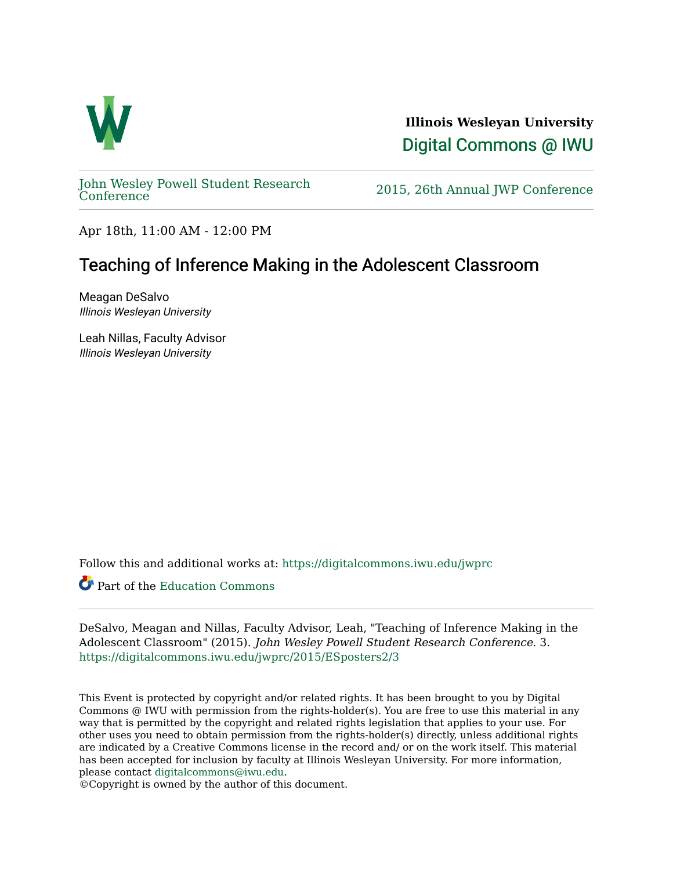

**Illinois Wesleyan University**  [Digital Commons @ IWU](https://digitalcommons.iwu.edu/) 

[John Wesley Powell Student Research](https://digitalcommons.iwu.edu/jwprc) 

2015, 26th Annual JWP [Conference](https://digitalcommons.iwu.edu/jwprc)

Apr 18th, 11:00 AM - 12:00 PM

#### Teaching of Inference Making in the Adolescent Classroom

Meagan DeSalvo Illinois Wesleyan University

Leah Nillas, Faculty Advisor Illinois Wesleyan University

Follow this and additional works at: [https://digitalcommons.iwu.edu/jwprc](https://digitalcommons.iwu.edu/jwprc?utm_source=digitalcommons.iwu.edu%2Fjwprc%2F2015%2FESposters2%2F3&utm_medium=PDF&utm_campaign=PDFCoverPages) 

Part of the [Education Commons](http://network.bepress.com/hgg/discipline/784?utm_source=digitalcommons.iwu.edu%2Fjwprc%2F2015%2FESposters2%2F3&utm_medium=PDF&utm_campaign=PDFCoverPages)

DeSalvo, Meagan and Nillas, Faculty Advisor, Leah, "Teaching of Inference Making in the Adolescent Classroom" (2015). John Wesley Powell Student Research Conference. 3. [https://digitalcommons.iwu.edu/jwprc/2015/ESposters2/3](https://digitalcommons.iwu.edu/jwprc/2015/ESposters2/3?utm_source=digitalcommons.iwu.edu%2Fjwprc%2F2015%2FESposters2%2F3&utm_medium=PDF&utm_campaign=PDFCoverPages) 

This Event is protected by copyright and/or related rights. It has been brought to you by Digital Commons @ IWU with permission from the rights-holder(s). You are free to use this material in any way that is permitted by the copyright and related rights legislation that applies to your use. For other uses you need to obtain permission from the rights-holder(s) directly, unless additional rights are indicated by a Creative Commons license in the record and/ or on the work itself. This material has been accepted for inclusion by faculty at Illinois Wesleyan University. For more information, please contact [digitalcommons@iwu.edu.](mailto:digitalcommons@iwu.edu)

©Copyright is owned by the author of this document.